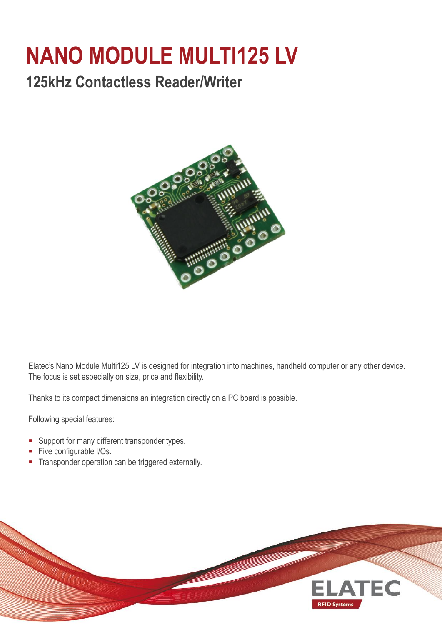## **NANO MODULE MULTI125 LV**

## **125kHz Contactless Reader/Writer**



Elatec's Nano Module Multi125 LV is designed for integration into machines, handheld computer or any other device. The focus is set especially on size, price and flexibility.

Thanks to its compact dimensions an integration directly on a PC board is possible.

Following special features:

- **Support for many different transponder types.**
- Five configurable I/Os.
- **Transponder operation can be triggered externally.**